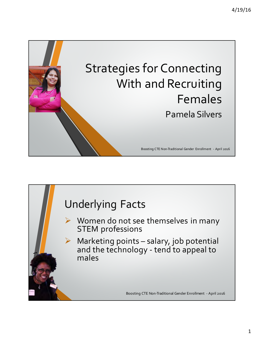

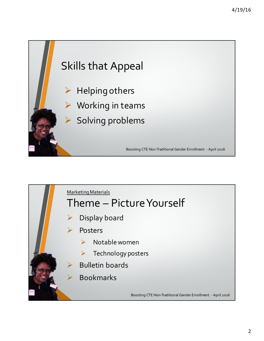

- $\triangleright$  Helping others
	- **Working in teams**
	- Solving problems

Boosting CTE Non-Traditional Gender Enrollment - April 2016

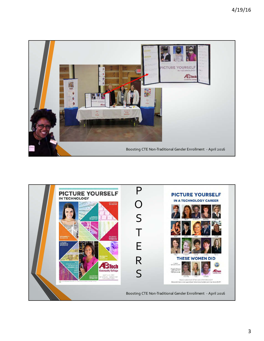

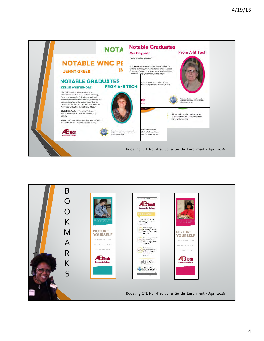

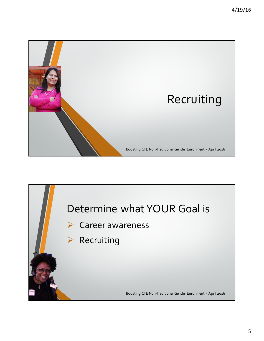

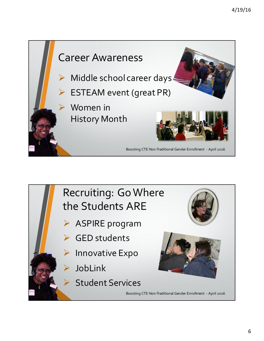



- ASPIRE program
- GED students
- **Innovative Expo**
- **JobLink** 
	- **Student Services**



Boosting CTE Non-Traditional Gender Enrollment - April 2016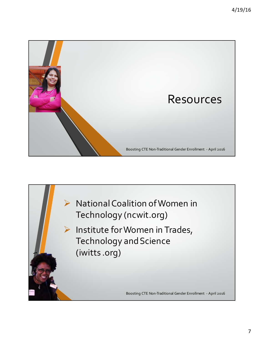